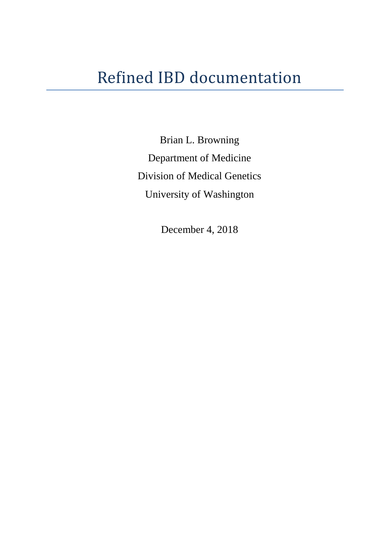Brian L. Browning Department of Medicine Division of Medical Genetics University of Washington

December 4, 2018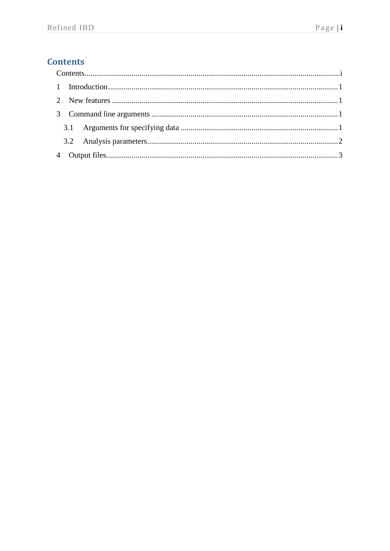# <span id="page-1-0"></span>**Contents**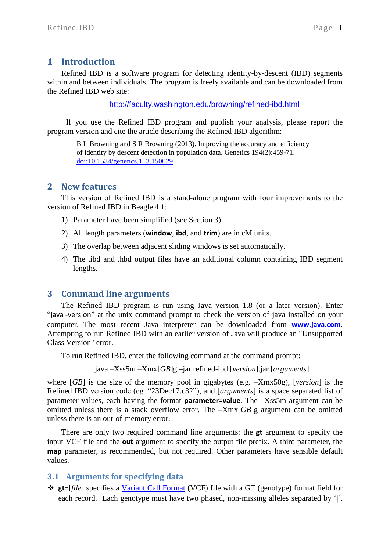## <span id="page-2-0"></span>**1 Introduction**

Refined IBD is a software program for detecting identity-by-descent (IBD) segments within and between individuals. The program is freely available and can be downloaded from the Refined IBD web site:

<http://faculty.washington.edu/browning/refined-ibd.html>

If you use the Refined IBD program and publish your analysis, please report the program version and cite the article describing the Refined IBD algorithm:

B L Browning and S R Browning (2013). Improving the accuracy and efficiency of identity by descent detection in population data. Genetics 194(2):459-71. [doi:10.1534/genetics.113.150029](http://dx.doi.org/10.1534/genetics.113.150029)

#### <span id="page-2-1"></span>**2 New features**

This version of Refined IBD is a stand-alone program with four improvements to the version of Refined IBD in Beagle 4.1:

- 1) Parameter have been simplified (see Section [3\)](#page-2-2).
- 2) All length parameters (**window**, **ibd**, and **trim**) are in cM units.
- 3) The overlap between adjacent sliding windows is set automatically.
- 4) The .ibd and .hbd output files have an additional column containing IBD segment lengths.

#### <span id="page-2-2"></span>**3 Command line arguments**

The Refined IBD program is run using Java version 1.8 (or a later version). Enter "java -version" at the unix command prompt to check the version of java installed on your computer. The most recent Java interpreter can be downloaded from **[www.java.com](http://www.java.com/)**. Attempting to run Refined IBD with an earlier version of Java will produce an "Unsupported Class Version" error.

To run Refined IBD, enter the following command at the command prompt:

java –Xss5m –Xmx[*GB*]g –jar refined-ibd.[*version*].jar [*arguments*]

where [*GB*] is the size of the memory pool in gigabytes (e.g. –Xmx50g), [*version*] is the Refined IBD version code (eg. "23Dec17.c32"), and [*arguments*] is a space separated list of parameter values, each having the format **parameter=value**. The –Xss5m argument can be omitted unless there is a stack overflow error. The –Xmx[*GB*]g argument can be omitted unless there is an out-of-memory error.

There are only two required command line arguments: the **gt** argument to specify the input VCF file and the **out** argument to specify the output file prefix. A third parameter, the **map** parameter, is recommended, but not required. Other parameters have sensible default values.

#### <span id="page-2-3"></span>**3.1 Arguments for specifying data**

 **gt=**[*file*] specifies a [Variant Call Format](http://faculty.washington.edu/browning/beagle/intro-to-vcf.html) (VCF) file with a GT (genotype) format field for each record. Each genotype must have two phased, non-missing alleles separated by '|'.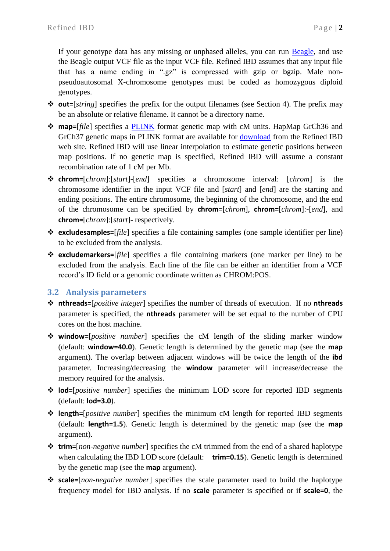If your genotype data has any missing or unphased alleles, you can run [Beagle,](https://faculty.washington.edu/browning/beagle/beagle.html) and use the Beagle output VCF file as the input VCF file. Refined IBD assumes that any input file that has a name ending in ".gz" is compressed with gzip or bgzip. Male nonpseudoautosomal X-chromosome genotypes must be coded as homozygous diploid genotypes.

- **out=**[*string*] specifies the prefix for the output filenames (see Section [4\)](#page-4-0). The prefix may be an absolute or relative filename. It cannot be a directory name.
- **map=**[*file*] specifies a [PLINK](http://zzz.bwh.harvard.edu/plink/data.shtml#map) format genetic map with cM units. HapMap GrCh36 and GrCh37 genetic maps in PLINK format are available for **download** from the Refined IBD web site. Refined IBD will use linear interpolation to estimate genetic positions between map positions. If no genetic map is specified, Refined IBD will assume a constant recombination rate of 1 cM per Mb.
- **chrom=**[*chrom*]:[*start*]-[*end*] specifies a chromosome interval: [*chrom*] is the chromosome identifier in the input VCF file and [*start*] and [*end*] are the starting and ending positions. The entire chromosome, the beginning of the chromosome, and the end of the chromosome can be specified by **chrom**=[*chrom*], **chrom=**[*chrom*]:-[*end*], and **chrom=**[*chrom*]:[*start*]- respectively.
- **excludesamples=**[*file*] specifies a file containing samples (one sample identifier per line) to be excluded from the analysis.
- **excludemarkers=**[*file*] specifies a file containing markers (one marker per line) to be excluded from the analysis. Each line of the file can be either an identifier from a VCF record's ID field or a genomic coordinate written as CHROM:POS.

### <span id="page-3-0"></span>**3.2 Analysis parameters**

- **nthreads=**[*positive integer*] specifies the number of threads of execution. If no **nthreads** parameter is specified, the **nthreads** parameter will be set equal to the number of CPU cores on the host machine.
- **window=**[*positive number*] specifies the cM length of the sliding marker window (default: **window=40.0**). Genetic length is determined by the genetic map (see the **map** argument). The overlap between adjacent windows will be twice the length of the **ibd** parameter. Increasing/decreasing the **window** parameter will increase/decrease the memory required for the analysis.
- **lod=**[*positive number*] specifies the minimum LOD score for reported IBD segments (default: **lod=3.0**).
- **length=**[*positive number*] specifies the minimum cM length for reported IBD segments (default: **length=1.5**). Genetic length is determined by the genetic map (see the **map** argument).
- **trim=**[*non-negative number*] specifies the cM trimmed from the end of a shared haplotype when calculating the IBD LOD score (default: **trim=0.15**). Genetic length is determined by the genetic map (see the **map** argument).
- **scale=**[*non-negative number*] specifies the scale parameter used to build the haplotype frequency model for IBD analysis. If no **scale** parameter is specified or if **scale=0**, the